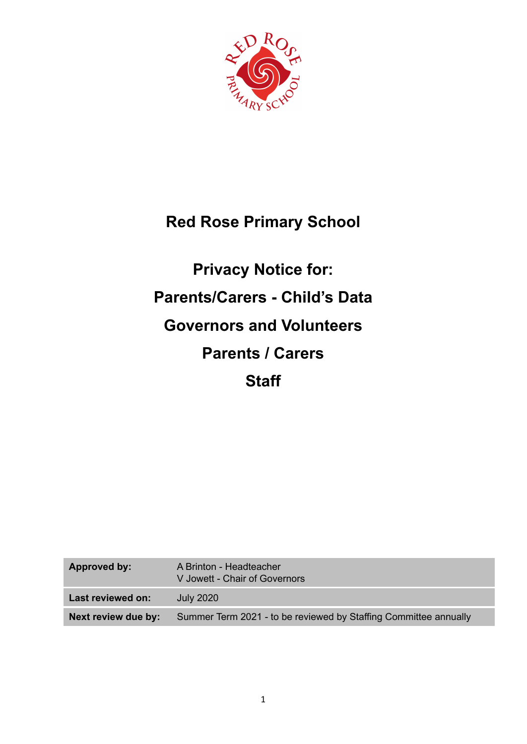

# **Red Rose Primary School**

# **Privacy Notice for: Parents/Carers - Child's Data Governors and Volunteers Parents / Carers Staff**

| Approved by:        | A Brinton - Headteacher<br>V Jowett - Chair of Governors         |
|---------------------|------------------------------------------------------------------|
| Last reviewed on:   | <b>July 2020</b>                                                 |
| Next review due by: | Summer Term 2021 - to be reviewed by Staffing Committee annually |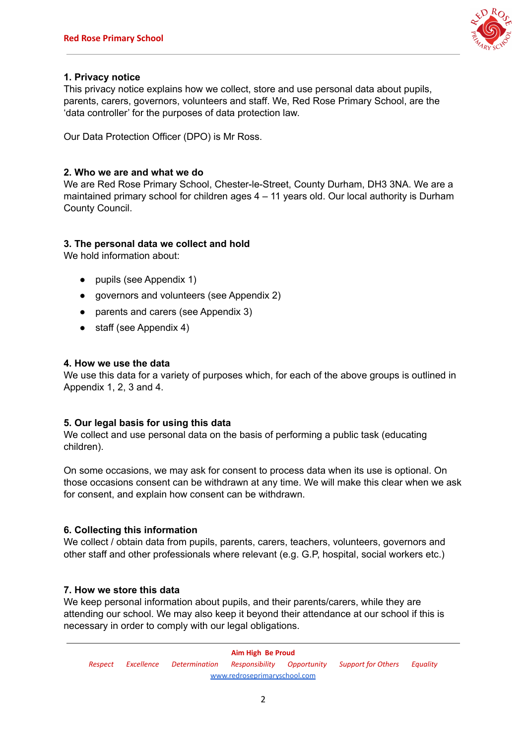

# **1. Privacy notice**

This privacy notice explains how we collect, store and use personal data about pupils, parents, carers, governors, volunteers and staff. We, Red Rose Primary School, are the 'data controller' for the purposes of data protection law.

Our Data Protection Officer (DPO) is Mr Ross.

# **2. Who we are and what we do**

We are Red Rose Primary School, Chester-le-Street, County Durham, DH3 3NA. We are a maintained primary school for children ages 4 – 11 years old. Our local authority is Durham County Council.

# **3. The personal data we collect and hold**

We hold information about:

- pupils (see Appendix 1)
- governors and volunteers (see Appendix 2)
- parents and carers (see Appendix 3)
- staff (see Appendix 4)

# **4. How we use the data**

We use this data for a variety of purposes which, for each of the above groups is outlined in Appendix 1, 2, 3 and 4.

# **5. Our legal basis for using this data**

We collect and use personal data on the basis of performing a public task (educating children).

On some occasions, we may ask for consent to process data when its use is optional. On those occasions consent can be withdrawn at any time. We will make this clear when we ask for consent, and explain how consent can be withdrawn.

# **6. Collecting this information**

We collect / obtain data from pupils, parents, carers, teachers, volunteers, governors and other staff and other professionals where relevant (e.g. G.P, hospital, social workers etc.)

# **7. How we store this data**

We keep personal information about pupils, and their parents/carers, while they are attending our school. We may also keep it beyond their attendance at our school if this is necessary in order to comply with our legal obligations.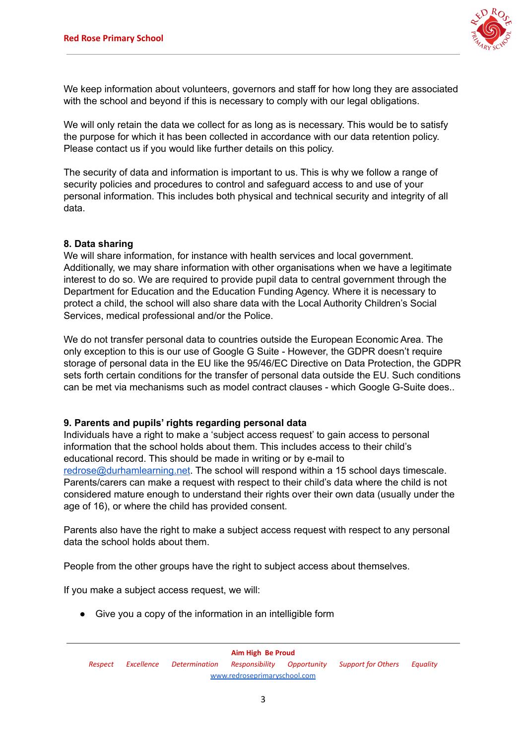

We keep information about volunteers, governors and staff for how long they are associated with the school and beyond if this is necessary to comply with our legal obligations.

We will only retain the data we collect for as long as is necessary. This would be to satisfy the purpose for which it has been collected in accordance with our data retention policy. Please contact us if you would like further details on this policy.

The security of data and information is important to us. This is why we follow a range of security policies and procedures to control and safeguard access to and use of your personal information. This includes both physical and technical security and integrity of all data.

# **8. Data sharing**

We will share information, for instance with health services and local government. Additionally, we may share information with other organisations when we have a legitimate interest to do so. We are required to provide pupil data to central government through the Department for Education and the Education Funding Agency. Where it is necessary to protect a child, the school will also share data with the Local Authority Children's Social Services, medical professional and/or the Police.

We do not transfer personal data to countries outside the European Economic Area. The only exception to this is our use of Google G Suite - However, the GDPR doesn't require storage of personal data in the EU like the 95/46/EC Directive on Data Protection, the GDPR sets forth certain conditions for the transfer of personal data outside the EU. Such conditions can be met via mechanisms such as model contract clauses - which Google G-Suite does..

# **9. Parents and pupils' rights regarding personal data**

Individuals have a right to make a 'subject access request' to gain access to personal information that the school holds about them. This includes access to their child's educational record. This should be made in writing or by e-mail to [redrose@durhamlearning.net](mailto:redrose@durhamlearning.net). The school will respond within a 15 school days timescale. Parents/carers can make a request with respect to their child's data where the child is not considered mature enough to understand their rights over their own data (usually under the age of 16), or where the child has provided consent.

Parents also have the right to make a subject access request with respect to any personal data the school holds about them.

People from the other groups have the right to subject access about themselves.

If you make a subject access request, we will:

● Give you a copy of the information in an intelligible form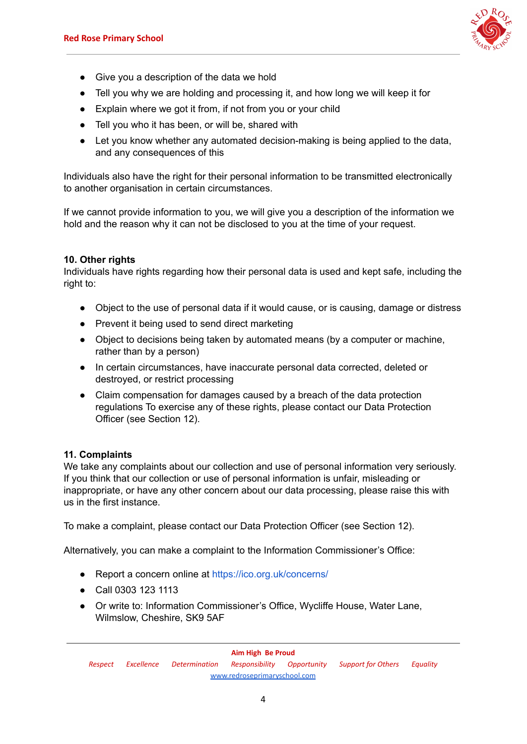

- Give you a description of the data we hold
- Tell you why we are holding and processing it, and how long we will keep it for
- Explain where we got it from, if not from you or your child
- Tell you who it has been, or will be, shared with
- Let you know whether any automated decision-making is being applied to the data, and any consequences of this

Individuals also have the right for their personal information to be transmitted electronically to another organisation in certain circumstances.

If we cannot provide information to you, we will give you a description of the information we hold and the reason why it can not be disclosed to you at the time of your request.

# **10. Other rights**

Individuals have rights regarding how their personal data is used and kept safe, including the right to:

- Object to the use of personal data if it would cause, or is causing, damage or distress
- Prevent it being used to send direct marketing
- Object to decisions being taken by automated means (by a computer or machine, rather than by a person)
- In certain circumstances, have inaccurate personal data corrected, deleted or destroyed, or restrict processing
- Claim compensation for damages caused by a breach of the data protection regulations To exercise any of these rights, please contact our Data Protection Officer (see Section 12).

#### **11. Complaints**

We take any complaints about our collection and use of personal information very seriously. If you think that our collection or use of personal information is unfair, misleading or inappropriate, or have any other concern about our data processing, please raise this with us in the first instance.

To make a complaint, please contact our Data Protection Officer (see Section 12).

Alternatively, you can make a complaint to the Information Commissioner's Office:

- Report a concern online at <https://ico.org.uk/concerns/>
- Call 0303 123 1113
- Or write to: Information Commissioner's Office, Wycliffe House, Water Lane, Wilmslow, Cheshire, SK9 5AF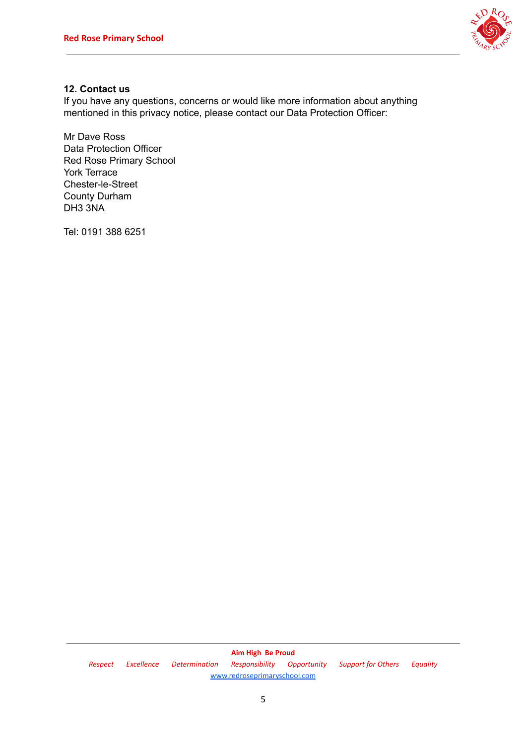

# **12. Contact us**

If you have any questions, concerns or would like more information about anything mentioned in this privacy notice, please contact our Data Protection Officer:

Mr Dave Ross Data Protection Officer Red Rose Primary School York Terrace Chester-le-Street County Durham DH3 3NA

Tel: 0191 388 6251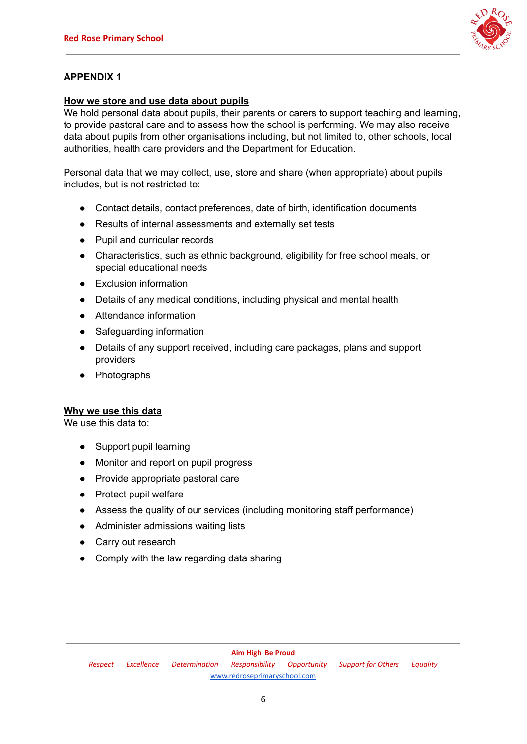

# **How we store and use data about pupils**

We hold personal data about pupils, their parents or carers to support teaching and learning. to provide pastoral care and to assess how the school is performing. We may also receive data about pupils from other organisations including, but not limited to, other schools, local authorities, health care providers and the Department for Education.

Personal data that we may collect, use, store and share (when appropriate) about pupils includes, but is not restricted to:

- Contact details, contact preferences, date of birth, identification documents
- Results of internal assessments and externally set tests
- Pupil and curricular records
- Characteristics, such as ethnic background, eligibility for free school meals, or special educational needs
- Exclusion information
- Details of any medical conditions, including physical and mental health
- Attendance information
- Safeguarding information
- Details of any support received, including care packages, plans and support providers
- Photographs

# **Why we use this data**

We use this data to:

- Support pupil learning
- Monitor and report on pupil progress
- Provide appropriate pastoral care
- Protect pupil welfare
- Assess the quality of our services (including monitoring staff performance)
- Administer admissions waiting lists
- Carry out research
- Comply with the law regarding data sharing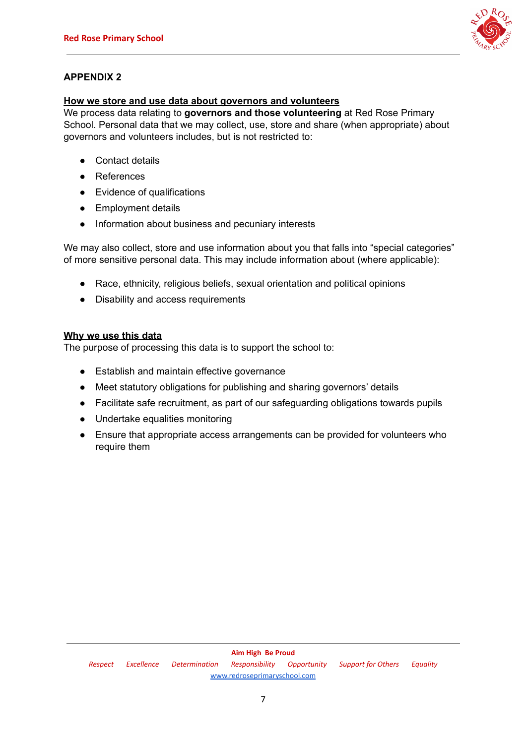

#### **How we store and use data about governors and volunteers**

We process data relating to **governors and those volunteering** at Red Rose Primary School. Personal data that we may collect, use, store and share (when appropriate) about governors and volunteers includes, but is not restricted to:

- Contact details
- References
- Evidence of qualifications
- Employment details
- Information about business and pecuniary interests

We may also collect, store and use information about you that falls into "special categories" of more sensitive personal data. This may include information about (where applicable):

- Race, ethnicity, religious beliefs, sexual orientation and political opinions
- Disability and access requirements

# **Why we use this data**

The purpose of processing this data is to support the school to:

- Establish and maintain effective governance
- Meet statutory obligations for publishing and sharing governors' details
- Facilitate safe recruitment, as part of our safeguarding obligations towards pupils
- Undertake equalities monitoring
- Ensure that appropriate access arrangements can be provided for volunteers who require them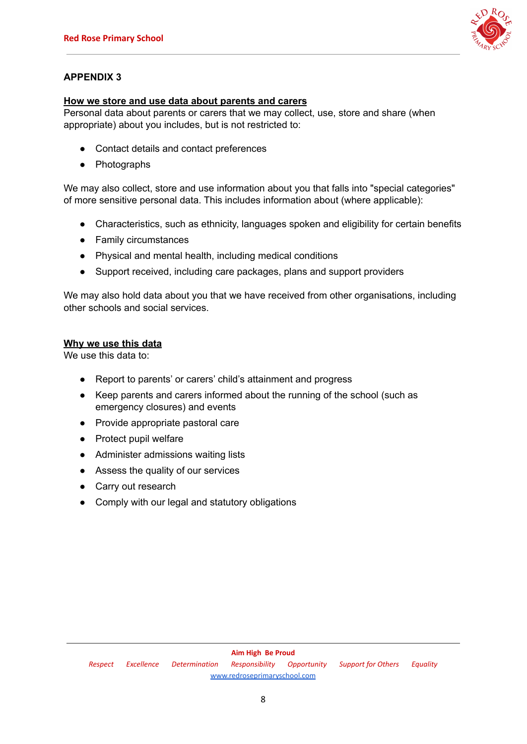

# **How we store and use data about parents and carers**

Personal data about parents or carers that we may collect, use, store and share (when appropriate) about you includes, but is not restricted to:

- Contact details and contact preferences
- Photographs

We may also collect, store and use information about you that falls into "special categories" of more sensitive personal data. This includes information about (where applicable):

- Characteristics, such as ethnicity, languages spoken and eligibility for certain benefits
- Family circumstances
- Physical and mental health, including medical conditions
- Support received, including care packages, plans and support providers

We may also hold data about you that we have received from other organisations, including other schools and social services.

#### **Why we use this data**

We use this data to:

- Report to parents' or carers' child's attainment and progress
- Keep parents and carers informed about the running of the school (such as emergency closures) and events
- Provide appropriate pastoral care
- Protect pupil welfare
- Administer admissions waiting lists
- Assess the quality of our services
- Carry out research
- Comply with our legal and statutory obligations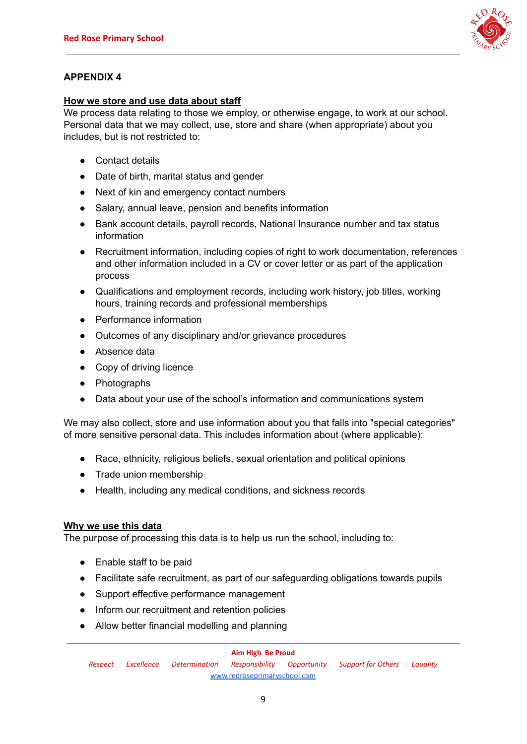

# **How we store and use data about staff**

We process data relating to those we employ, or otherwise engage, to work at our school. Personal data that we may collect, use, store and share (when appropriate) about you includes, but is not restricted to:

- Contact details
- Date of birth, marital status and gender
- Next of kin and emergency contact numbers
- Salary, annual leave, pension and benefits information
- Bank account details, payroll records, National Insurance number and tax status information
- Recruitment information, including copies of right to work documentation, references and other information included in a CV or cover letter or as part of the application process
- Qualifications and employment records, including work history, job titles, working hours, training records and professional memberships
- Performance information
- Outcomes of any disciplinary and/or grievance procedures
- Absence data
- Copy of driving licence
- Photographs
- Data about your use of the school's information and communications system

We may also collect, store and use information about you that falls into "special categories" of more sensitive personal data. This includes information about (where applicable):

- Race, ethnicity, religious beliefs, sexual orientation and political opinions
- Trade union membership
- Health, including any medical conditions, and sickness records

# **Why we use this data**

The purpose of processing this data is to help us run the school, including to:

- Enable staff to be paid
- Facilitate safe recruitment, as part of our safeguarding obligations towards pupils
- Support effective performance management
- Inform our recruitment and retention policies
- Allow better financial modelling and planning